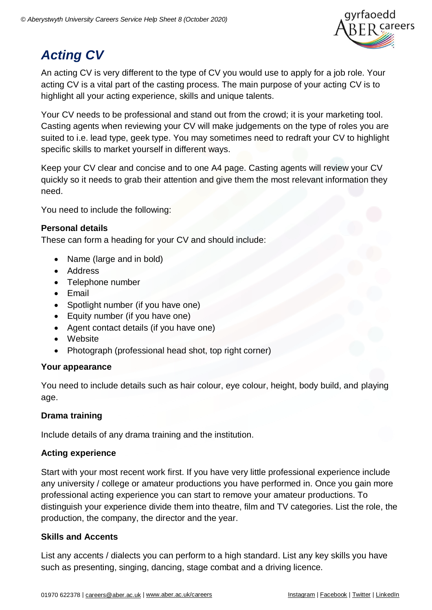

# *Acting CV*

An acting CV is very different to the type of CV you would use to apply for a job role. Your acting CV is a vital part of the casting process. The main purpose of your acting CV is to highlight all your acting experience, skills and unique talents.

Your CV needs to be professional and stand out from the crowd; it is your marketing tool. Casting agents when reviewing your CV will make judgements on the type of roles you are suited to i.e. lead type, geek type. You may sometimes need to redraft your CV to highlight specific skills to market yourself in different ways.

Keep your CV clear and concise and to one A4 page. Casting agents will review your CV quickly so it needs to grab their attention and give them the most relevant information they need.

You need to include the following:

### **Personal details**

These can form a heading for your CV and should include:

- Name (large and in bold)
- Address
- Telephone number
- Email
- Spotlight number (if you have one)
- Equity number (if you have one)
- Agent contact details (if you have one)
- Website
- Photograph (professional head shot, top right corner)

### **Your appearance**

You need to include details such as hair colour, eye colour, height, body build, and playing age.

### **Drama training**

Include details of any drama training and the institution.

### **Acting experience**

Start with your most recent work first. If you have very little professional experience include any university / college or amateur productions you have performed in. Once you gain more professional acting experience you can start to remove your amateur productions. To distinguish your experience divide them into theatre, film and TV categories. List the role, the production, the company, the director and the year.

### **Skills and Accents**

List any accents / dialects you can perform to a high standard. List any key skills you have such as presenting, singing, dancing, stage combat and a driving licence.